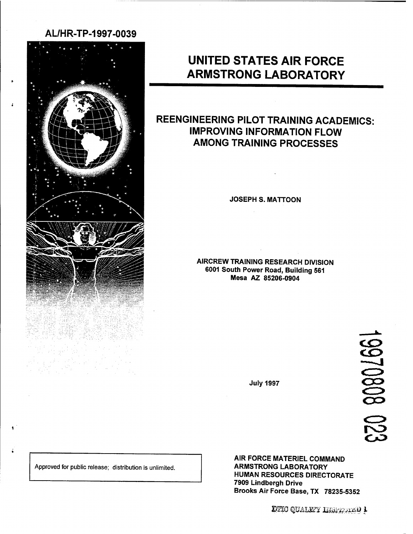# **AL/HR-TP-1997-0039**



# **UNITED STATES AIR FORCE ARMSTRONG LABORATORY**

# **REENGINEERING PILOT TRAINING ACADEMICS: IMPROVING INFORMATION FLOW AMONG TRAINING PROCESSES**

**JOSEPH S. MATTOON**

**AIRCREW TRAINING RESEARCH DIVISION 6001 South Power Road, Building 561 Mesa AZ 85206-0904**

220 80802661

**July 1997**

Approved for public release; distribution is unlimited.

**AIR FORCE MATERIEL COMMAND ARMSTRONG LABORATORY HUMAN RESOURCES DIRECTORATE 7909 Lindbergh Drive Brooks Air** Force Base, TX 78235-5352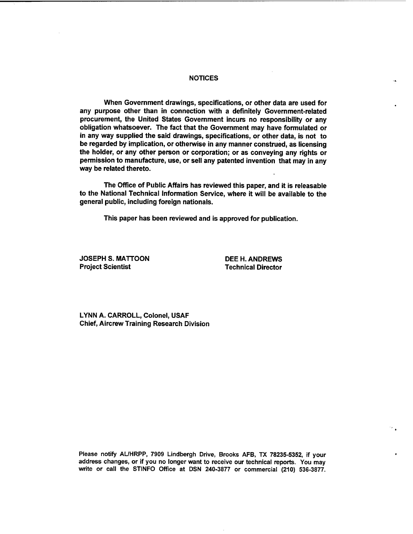#### **NOTICES**

**When Government drawings, specifications, or other data are used for any purpose other than in connection with a definitely Government-related procurement, the United States Government incurs no responsibility or any obligation whatsoever. The fact that the Government may have formulated or in any way supplied the said drawings, specifications, or other data, is not to be regarded by implication, or otherwise in any manner construed, as licensing the holder, or any other person or corporation; or as conveying any rights or permission to manufacture, use, or sell any patented invention that may in any way be related thereto.**

**The Office of Public Affairs has reviewed this paper, and it is releasable to the National Technical Information Service, where it will be available to the general public, including foreign nationals.**

**This paper has been reviewed and is approved for publication.**

**JOSEPH S. MATTOON DEE H. ANDREWS**

**Project Scientist Technical Director**

**LYNN A. CARROLL, Colonel, USAF Chief, Aircrew Training Research Division**

**Please notify AL/HRPP, 7909 Lindbergh Drive, Brooks AFB, TX 78235-5352, if your address changes, or if you no longer want to receive our technical reports. You may write or call the STINFO Office at DSN 240-3877 or commercial (210) 536-3877.**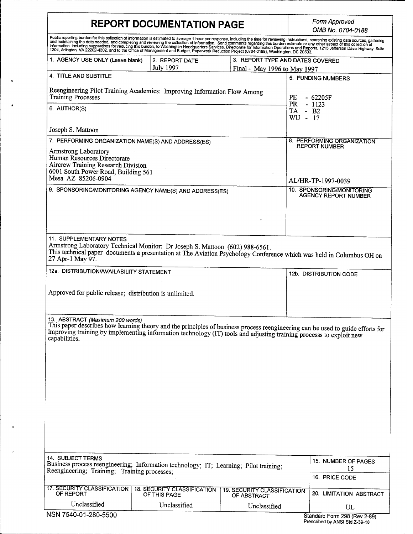# **REPORT DOCUMENTATION PAGE** *Form Approved*

 $\overline{\phantom{a}}$ 

*OMB No. 0704-0188*

|                                                                                                                                                                                               |                                                    |                                                   | סס ו ט <del>יזי</del> ט ו ט ויט נואוכ                                                                                                                                                                                             |
|-----------------------------------------------------------------------------------------------------------------------------------------------------------------------------------------------|----------------------------------------------------|---------------------------------------------------|-----------------------------------------------------------------------------------------------------------------------------------------------------------------------------------------------------------------------------------|
|                                                                                                                                                                                               |                                                    |                                                   | Public reporting burden for this collection of information is estimated to average 1 hour per response, including the time for reviewing instructions, searching existing data sources, gathering<br>and maintaining the data nee |
| 1. AGENCY USE ONLY (Leave blank)<br>2. REPORT DATE<br><b>July 1997</b><br>Final - May 1996 to May 1997                                                                                        |                                                    |                                                   | 3. REPORT TYPE AND DATES COVERED                                                                                                                                                                                                  |
| 4. TITLE AND SUBTITLE                                                                                                                                                                         |                                                    |                                                   | 5. FUNDING NUMBERS                                                                                                                                                                                                                |
| Reengineering Pilot Training Academics: Improving Information Flow Among<br><b>Training Processes</b><br>PE                                                                                   |                                                    |                                                   | $-62205F$                                                                                                                                                                                                                         |
| 6. AUTHOR(S)                                                                                                                                                                                  |                                                    |                                                   | PR<br>$-1123$<br>TA - B2<br>WU - 17                                                                                                                                                                                               |
| Joseph S. Mattoon                                                                                                                                                                             |                                                    |                                                   |                                                                                                                                                                                                                                   |
| 7. PERFORMING ORGANIZATION NAME(S) AND ADDRESS(ES)<br>Armstrong Laboratory<br>Human Resources Directorate<br>Aircrew Training Research Division                                               |                                                    |                                                   | 8. PERFORMING ORGANIZATION<br><b>REPORT NUMBER</b>                                                                                                                                                                                |
| 6001 South Power Road, Building 561<br>Mesa AZ 85206-0904                                                                                                                                     |                                                    |                                                   |                                                                                                                                                                                                                                   |
| 9. SPONSORING/MONITORING AGENCY NAME(S) AND ADDRESS(ES)                                                                                                                                       |                                                    |                                                   | AL/HR-TP-1997-0039<br>10. SPONSORING/MONITORING                                                                                                                                                                                   |
|                                                                                                                                                                                               |                                                    |                                                   | <b>AGENCY REPORT NUMBER</b>                                                                                                                                                                                                       |
|                                                                                                                                                                                               |                                                    |                                                   |                                                                                                                                                                                                                                   |
| 11. SUPPLEMENTARY NOTES<br>Armstrong Laboratory Technical Monitor: Dr Joseph S. Mattoon (602) 988-6561.<br>27 Apr-1 May 97.                                                                   |                                                    |                                                   | This technical paper documents a presentation at The Aviation Psychology Conference which was held in Columbus OH on                                                                                                              |
| 12a. DISTRIBUTION/AVAILABILITY STATEMENT                                                                                                                                                      |                                                    |                                                   | 12b. DISTRIBUTION CODE                                                                                                                                                                                                            |
| Approved for public release; distribution is unlimited.                                                                                                                                       |                                                    |                                                   |                                                                                                                                                                                                                                   |
| 13. ABSTRACT (Maximum 200 words)<br>improving training by implementing information technology (IT) tools and adjusting training processs to exploit new<br>capabilities.<br>14. SUBJECT TERMS |                                                    |                                                   | This paper describes how learning theory and the principles of business process reengineering can be used to guide efforts for                                                                                                    |
| Business process reengineering; Information technology; IT; Learning; Pilot training;<br>Reengineering; Training; Training processes;                                                         |                                                    |                                                   | 15. NUMBER OF PAGES<br>15<br>16. PRICE CODE                                                                                                                                                                                       |
| <b>17. SECURITY CLASSIFICATION</b><br>OF REPORT                                                                                                                                               | <b>18. SECURITY CLASSIFICATION</b><br>OF THIS PAGE | <b>19. SECURITY CLASSIFICATION</b><br>OF ABSTRACT | 20. LIMITATION ABSTRACT                                                                                                                                                                                                           |
| Unclassified                                                                                                                                                                                  | Unclassified                                       | Unclassified                                      | UL                                                                                                                                                                                                                                |
| NSN 7540-01-280-5500                                                                                                                                                                          |                                                    |                                                   | Standard Form 298 (Rev 2-89)                                                                                                                                                                                                      |

Standard Form 298 (Rev 2-89) Prescribed by ANSI Std Z-39-18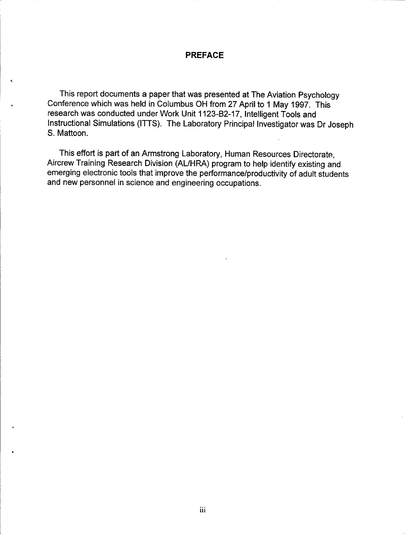#### **PREFACE**

This report documents a paper that was presented at The Aviation Psychology Conference which was held in Columbus OH from 27 April to <sup>1</sup> May 1997. This research was conducted under Work Unit 1123-B2-17, Intelligent Tools and Instructional Simulations (ITTS). The Laboratory Principal Investigator was Dr Joseph S. Mattoon.

This effort is part of an Armstrong Laboratory, Human Resources Directorate, Aircrew Training Research Division (AL/HRA) program to help identify existing and emerging electronic tools that improve the performance/productivity of adult students and new personnel in science and engineering occupations.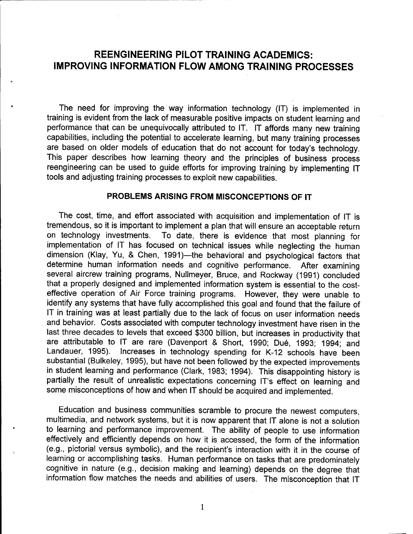## **REENGINEERING PILOT TRAINING ACADEMICS: IMPROVING INFORMATION FLOW AMONG TRAINING PROCESSES**

The need for improving the way information technology (IT) is implemented in training is evident from the lack of measurable positive impacts on student learning and performance that can be unequivocally attributed to IT. IT affords many new training capabilities, including the potential to accelerate learning, but many training processes are based on older models of education that do not account for today's technology. This paper describes how learning theory and the principles of business process reengineering can be used to guide efforts for improving training by implementing IT tools and adjusting training processes to exploit new capabilities.

#### **PROBLEMS ARISING FROM MISCONCEPTIONS OF IT**

The cost, time, and effort associated with acquisition and implementation of IT is tremendous, so it is important to implement a plan that will ensure an acceptable return on technology investments. To date, there is evidence that most planning for implementation of IT has focused on technical issues while neglecting the human dimension (Klay, Yu, & Chen, 1991)—the behavioral and psychological factors that determine human information needs and cognitive performance. After examining several aircrew training programs, Nullmeyer, Bruce, and Rockway (1991) concluded that a properly designed and implemented information system is essential to the costeffective operation of Air Force training programs. However, they were unable to identify any systems that have fully accomplished this goal and found that the failure of IT in training was at least partially due to the lack of focus on user information needs and behavior. Costs associated with computer technology investment have risen in the last three decades to levels that exceed \$300 billion, but increases in productivity that are attributable to IT are rare (Davenport & Short, 1990; Dué, 1993; 1994; and Landauer, 1995). Increases in technology spending for K-12 schools have been substantial (Bulkeley, 1995), but have not been followed by the expected improvements in student learning and performance (Clark, 1983; 1994). This disappointing history is partially the result of unrealistic expectations concerning IT's effect on learning and some misconceptions of how and when IT should be acquired and implemented.

Education and business communities scramble to procure the newest computers, multimedia, and network systems, but it is now apparent that IT alone is not a solution to learning and performance improvement. The ability of people to use information effectively and efficiently depends on how it is accessed, the form of the information (e.g., pictorial versus symbolic), and the recipient's interaction with it in the course of learning or accomplishing tasks. Human performance on tasks that are predominately cognitive in nature (e.g., decision making and learning) depends on the degree that information flow matches the needs and abilities of users. The misconception that IT

 $\mathbf{1}$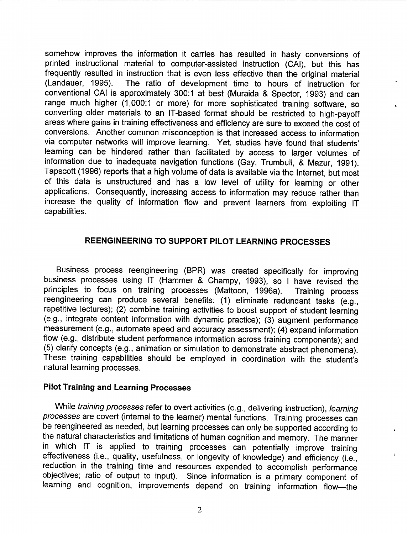somehow improves the information it carries has resulted in hasty conversions of printed instructional material to computer-assisted instruction (CAI), but this has frequently resulted in instruction that is even less effective than the original material (Landauer, 1995). The ratio of development time to hours of instruction for conventional CAI is approximately 300:1 at best (Muraida & Spector, 1993) and can range much higher (1,000:1 or more) for more sophisticated training software, so converting older materials to an IT-based format should be restricted to high-payoff areas where gains in training effectiveness and efficiency are sure to exceed the cost of conversions. Another common misconception is that increased access to information via computer networks will improve learning. Yet, studies have found that students' learning can be hindered rather than facilitated by access to larger volumes of information due to inadequate navigation functions (Gay, Trumbull, & Mazur, 1991). Tapscott (1996) reports that a high volume of data is available via the Internet, but most of this data is unstructured and has a low level of utility for learning or other applications. Consequently, increasing access to information may reduce rather than increase the quality of information flow and prevent learners from exploiting IT capabilities.

### **REENGINEERING TO SUPPORT PILOT LEARNING PROCESSES**

Business process reengineering (BPR) was created specifically for improving business processes using IT (Hammer & Champy, 1993), so <sup>I</sup> have revised the principles to focus on training processes (Mattoon, 1996a). Training process reengineering can produce several benefits: (1) eliminate redundant tasks (e.g., repetitive lectures); (2) combine training activities to boost support of student learning (e.g., integrate content information with dynamic practice); (3) augment performance measurement (e.g., automate speed and accuracy assessment); (4) expand information flow (e.g., distribute student performance information across training components); and (5) clarify concepts (e.g., animation or simulation to demonstrate abstract phenomena). These training capabilities should be employed in coordination with the student's natural learning processes.

#### **Pilot Training and Learning Processes**

While *training processes* refer to overt activities (e.g., delivering instruction), *learning processes* are covert (internal to the learner) mental functions. Training processes can be reengineered as needed, but learning processes can only be supported according to the natural characteristics and limitations of human cognition and memory. The manner in which IT is applied to training processes can potentially improve training effectiveness (i.e., quality, usefulness, or longevity of knowledge) and efficiency (i.e., reduction in the training time and resources expended to accomplish performance objectives; ratio of output to input). Since information is a primary component of learning and cognition, improvements depend on training information flow—the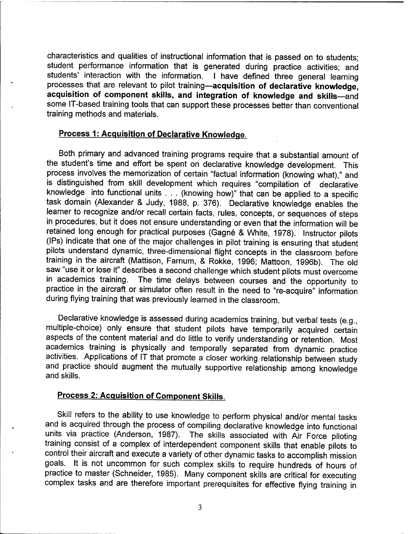characteristics and qualities of instructional information that is passed on to students; student performance information that is generated during practice activities; and students' interaction with the information. <sup>I</sup> have defined three general learning processes that are relevant to pilot training—**acquisition of declarative knowledge, acquisition of component skills, and integration of knowledge and skills—**and some IT-based training tools that can support these processes better than conventional training methods and materials.

#### **Process 1: Acquisition of Declarative Knowledge.**

Both primary and advanced training programs require that a substantial amount of the student's time and effort be spent on declarative knowledge development. This process involves the memorization of certain "factual information (knowing what)," and is distinguished from skill development which requires "compilation of declarative knowledge into functional units . . . (knowing how)" that can be applied to a specific task domain (Alexander & Judy, 1988, p. 376). Declarative knowledge enables the learner to recognize and/or recall certain facts, rules, concepts, or sequences of steps in procedures, but it does not ensure understanding or even that the information will be retained long enough for practical purposes (Gagné & White, 1978). Instructor pilots (IPs) indicate that one of the major challenges in pilot training is ensuring that student pilots understand dynamic, three-dimensional flight concepts in the classroom before training in the aircraft (Mattison, Farnum, & Rokke, 1996; Mattoon, 1996b). The old saw "use it or lose it" describes a second challenge which student pilots must overcome in academics training. The time delays between courses and the opportunity to practice in the aircraft or simulator often result in the need to "re-acquire" information during flying training that was previously learned in the classroom.

Declarative knowledge is assessed during academics training, but verbal tests (e.g., multiple-choice) only ensure that student pilots have temporarily acquired certain aspects of the content material and do little to verify understanding or retention. Most academics training is physically and temporally separated from dynamic practice activities. Applications of IT that promote a closer working relationship between study and practice should augment the mutually supportive relationship among knowledge and skills.

## **Process 2: Acquisition of Component Skills.**

Skill refers to the ability to use knowledge to perform physical and/or mental tasks and is acquired through the process of compiling declarative knowledge into functional units via practice (Anderson, 1987). The skills associated with Air Force piloting training consist of a complex of interdependent component skills that enable pilots to control their aircraft and execute a variety of other dynamic tasks to accomplish mission goals. It is not uncommon for such complex skills to require hundreds of hours of practice to master (Schneider, 1985). Many component skills are critical for executing complex tasks and are therefore important prerequisites for effective flying training in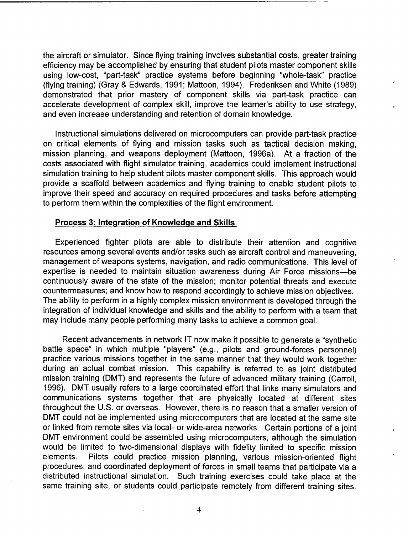the aircraft or simulator. Since flying training involves substantial costs, greater training efficiency may be accomplished by ensuring that student pilots master component skills using low-cost, "part-task" practice systems before beginning "whole-task" practice (flying training) (Gray & Edwards, 1991; Mattoon, 1994). Frederiksen and White (1989) demonstrated that prior mastery of component skills via part-task practice can accelerate development of complex skill, improve the learner's ability to use strategy, and even increase understanding and retention of domain knowledge.

Instructional simulations delivered on microcomputers can provide part-task practice on critical elements of flying and mission tasks such as tactical decision making, mission planning, and weapons deployment (Mattoon, 1996a). At a fraction of the costs associated with flight simulator training, academics could implement instructional simulation training to help student pilots master component skills. This approach would provide a scaffold between academics and flying training to enable student pilots to improve their speed and accuracy on required procedures and tasks before attempting to perform them within the complexities of the flight environment.

#### **Process 3: Integration of Knowledge and Skills.**

Experienced fighter pilots are able to distribute their attention and cognitive resources among several events and/or tasks such as aircraft control and maneuvering, management of weapons systems, navigation, and radio communications. This level of expertise is needed to maintain situation awareness during Air Force missions—be continuously aware of the state of the mission; monitor potential threats and execute countermeasures; and know how to respond accordingly to achieve mission objectives. The ability to perform in a highly complex mission environment is developed through the integration of individual knowledge and skills and the ability to perform with a team that may include many people performing many tasks to achieve a common goal.

Recent advancements in network IT now make it possible to generate a "synthetic battle space" in which multiple "players" (e.g., pilots and ground-forces personnel) practice various missions together in the same manner that they would work together during an actual combat mission. This capability is referred to as joint distributed mission training (DMT) and represents the future of advanced military training (Carroll, 1996). DMT usually refers to a large coordinated effort that links many simulators and communications systems together that are physically located at different sites throughout the U.S. or overseas. However, there is no reason that a smaller version of DMT could not be implemented using microcomputers that are located at the same site or linked from remote sites via local- or wide-area networks. Certain portions of a joint DMT environment could be assembled using microcomputers, although the simulation would be limited to two-dimensional displays with fidelity limited to specific mission elements. Pilots could practice mission planning, various mission-oriented flight procedures, and coordinated deployment of forces in small teams that participate via a distributed instructional simulation. Such training exercises could take place at the same training site, or students could participate remotely from different training sites.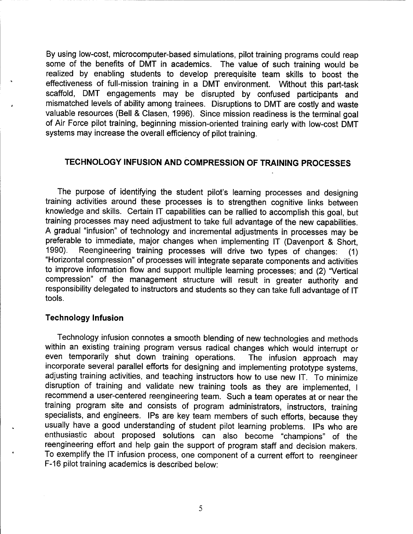By using low-cost, microcomputer-based simulations, pilot training programs could reap some of the benefits of DMT in academics. The value of such training would be realized by enabling students to develop prerequisite team skills to boost the effectiveness of full-mission training in a DMT environment. Without this part-task scaffold, DMT engagements may be disrupted by confused participants and mismatched levels of ability among trainees. Disruptions to DMT are costly and waste valuable resources (Bell & Clasen, 1996). Since mission readiness is the terminal goal of Air Force pilot training, beginning mission-oriented training early with low-cost DMT systems may increase the overall efficiency of pilot training.

### **TECHNOLOGY INFUSION AND COMPRESSION OF TRAINING PROCESSES**

The purpose of identifying the student pilot's learning processes and designing training activities around these processes is to strengthen cognitive links between knowledge and skills. Certain IT capabilities can be rallied to accomplish this goal, but training processes may need adjustment to take full advantage of the new capabilities. A gradual "infusion" of technology and incremental adjustments in processes may be preferable to immediate, major changes when implementing IT (Davenport & Short,<br>1990). Reengineering training processes will drive two types of changes: (1) Reengineering training processes will drive two types of changes: (1) "Horizontal compression" of processes will integrate separate components and activities to improve information flow and support multiple learning processes; and (2) "Vertical compression" of the management structure will result in greater authority and responsibility delegated to instructors and students so they can take full advantage of IT tools.

#### **Technology Infusion**

Technology infusion connotes a smooth blending of new technologies and methods within an existing training program versus radical changes which would interrupt or<br>even temporarily shut down training operations. The infusion approach may even temporarily shut down training operations. incorporate several parallel efforts for designing and implementing prototype systems, adjusting training activities, and teaching instructors how to use new IT. To minimize disruption of training and validate new training tools as they are implemented, <sup>I</sup> recommend a user-centered reengineering team. Such a team operates at or near the training program site and consists of program administrators, instructors, training specialists, and engineers. IPs are key team members of such efforts, because they usually have a good understanding of student pilot learning problems. IPs who are enthusiastic about proposed solutions can also become "champions" of the reengineering effort and help gain the support of program staff and decision makers. To exemplify the IT infusion process, one component of a current effort to reengineer F-16 pilot training academics is described below: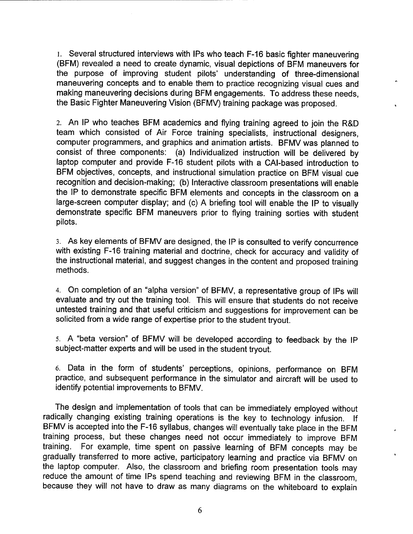1. Several structured interviews with IPs who teach F-16 basic fighter maneuvering (BFM) revealed a need to create dynamic, visual depictions of BFM maneuvers for the purpose of improving student pilots' understanding of three-dimensional maneuvering concepts and to enable them to practice recognizing visual cues and making maneuvering decisions during BFM engagements. To address these needs, the Basic Fighter Maneuvering Vision (BFMV) training package was proposed.

2. An IP who teaches BFM academics and flying training agreed to join the R&D team which consisted of Air Force training specialists, instructional designers, computer programmers, and graphics and animation artists. BFMV was planned to consist of three components: (a) Individualized instruction will be delivered by laptop computer and provide F-16 student pilots with a CAI-based introduction to BFM objectives, concepts, and instructional simulation practice on BFM visual cue recognition and decision-making; (b) Interactive classroom presentations will enable the IP to demonstrate specific BFM elements and concepts in the classroom on a large-screen computer display; and (c) A briefing tool will enable the IP to visually demonstrate specific BFM maneuvers prior to flying training sorties with student pilots.

3. As key elements of BFMV are designed, the IP is consulted to verify concurrence with existing F-16 training material and doctrine, check for accuracy and validity of the instructional material, and suggest changes in the content and proposed training methods.

4. On completion of an "alpha version" of BFMV, a representative group of IPs will evaluate and try out the training tool. This will ensure that students do not receive untested training and that useful criticism and suggestions for improvement can be solicited from a wide range of expertise prior to the student tryout.

5. A "beta version" of BFMV will be developed according to feedback by the IP subject-matter experts and will be used in the student tryout.

6. Data in the form of students' perceptions, opinions, performance on BFM practice, and subsequent performance in the simulator and aircraft will be used to identify potential improvements to BFMV.

The design and implementation of tools that can be immediately employed without radically changing existing training operations is the key to technology infusion. If BFMV is accepted into the F-16 syllabus, changes will eventually take place in the BFM training process, but these changes need not occur immediately to improve BFM training. For example, time spent on passive learning of BFM concepts may be gradually transferred to more active, participatory learning and practice via BFMV on the laptop computer. Also, the classroom and briefing room presentation tools may reduce the amount of time IPs spend teaching and reviewing BFM in the classroom, because they will not have to draw as many diagrams on the whiteboard to explain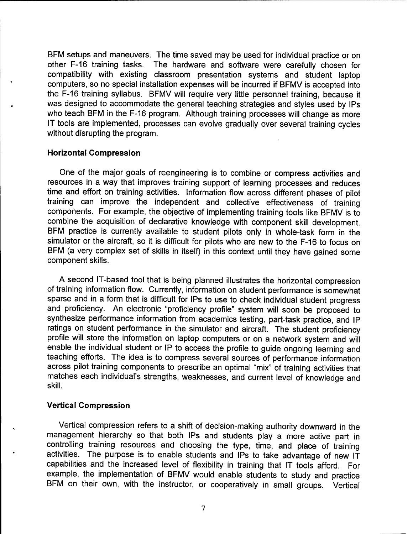BFM setups and maneuvers. The time saved may be used for individual practice or on other F-16 training tasks. The hardware and software were carefully chosen for compatibility with existing classroom presentation systems and student laptop computers, so no special installation expenses will be incurred if BFMV is accepted into the F-16 training syllabus. BFMV will require very little personnel training, because it was designed to accommodate the general teaching strategies and styles used by IPs who teach BFM in the F-16 program. Although training processes will change as more IT tools are implemented, processes can evolve gradually over several training cycles without disrupting the program.

#### **Horizontal Compression**

One of the major goals of reengineering is to combine or-compress activities and resources in a way that improves training support of learning processes and reduces time and effort on training activities. Information flow across different phases of pilot training can improve the independent and collective effectiveness of training components. For example, the objective of implementing training tools like BFMV is to combine the acquisition of declarative knowledge with component skill development. BFM practice is currently available to student pilots only in whole-task form in the simulator or the aircraft, so it is difficult for pilots who are new to the F-16 to focus on BFM (a very complex set of skills in itself) in this context until they have gained some component skills.

A second IT-based tool that is being planned illustrates the horizontal compression of training information flow. Currently, information on student performance is somewhat sparse and in a form that is difficult for IPs to use to check individual student progress and proficiency. An electronic "proficiency profile" system will soon be proposed to synthesize performance information from academics testing, part-task practice, and IP ratings on student performance in the simulator and aircraft. The student proficiency profile will store the information on laptop computers or on a network system and will enable the individual student or IP to access the profile to guide ongoing learning and teaching efforts. The idea is to compress several sources of performance information across pilot training components to prescribe an optimal "mix" of training activities that matches each individual's strengths, weaknesses, and current level of knowledge and skill.

## **Vertical Compression**

Vertical compression refers to a shift of decision-making authority downward in the management hierarchy so that both IPs and students play a more active part in controlling training resources and choosing the type, time, and place of training activities. The purpose is to enable students and IPs to take advantage of new IT capabilities and the increased level of flexibility in training that IT tools afford. For example, the implementation of BFMV would enable students to study and practice BFM on their own, with the instructor, or cooperatively in small groups. Vertical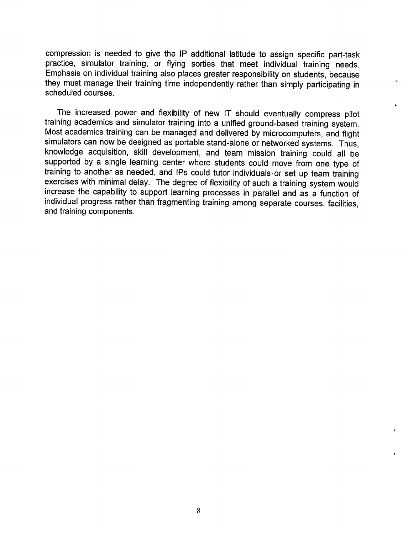compression is needed to give the IP additional latitude to assign specific part-task practice, simulator training, or flying sorties that meet individual training needs. Emphasis on individual training also places greater responsibility on students, because they must manage their training time independently rather than simply participating in scheduled courses.

The increased power and flexibility of new IT should eventually compress pilot training academics and simulator training into a unified ground-based training system. Most academics training can be managed and delivered by microcomputers, and flight simulators can now be designed as portable stand-alone or networked systems. Thus, knowledge acquisition, skill development, and team mission training could all be supported by a single learning center where students could move from one type of training to another as needed, and IPs could tutor individuals-or set up team training exercises with minimal delay. The degree of flexibility of such a training system would increase the capability to support learning processes in parallel and as a function of individual progress rather than fragmenting training among separate courses, facilities, and training components.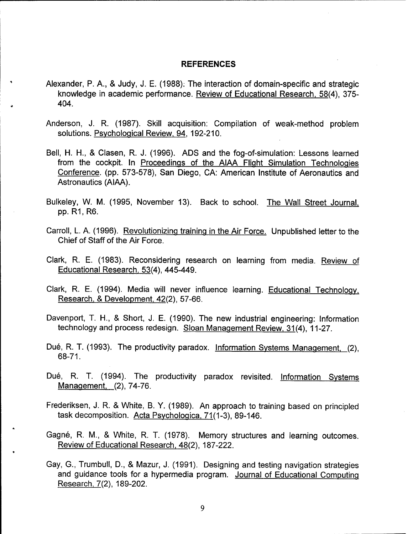#### **REFERENCES**

- Alexander, P. A., & Judy, J. E. (1988): The interaction of domain-specific and strategic knowledge in academic performance. Review of Educational Research. 58(4), 375- 404.
- Anderson, J. R. (1987). Skill acquisition: Compilation of weak-method problem solutions. Psychological Review. 94. 192-210.
- Bell, H. H., & Clasen, R. J. (1996). ADS and the fog-of-simulation: Lessons learned from the cockpit. In Proceedings of the AIAA Flight Simulation Technologies Conference, (pp. 573-578), San Diego, CA: American Institute of Aeronautics and Astronautics (AIAA).
- Bulkeley, W. M. (1995, November 13). Back to school. The Wall Street Journal. pp. R1, R6.
- Carroll, L. A. (1996). Revolutionizing training in the Air Force. Unpublished letter to the Chief of Staff of the Air Force.
- Clark, R. E. (1983). Reconsidering research on learning from media. Review of Educational Research. 53(4). 445-449.
- Clark, R. E. (1994). Media will never influence learning. Educational Technology. Research, & Development, 42(2), 57-66.
- Davenport, T. H., & Short, J. E. (1990). The new industrial engineering: Information technology and process redesign. Sloan Management Review, 31(4), 11-27.
- Dué, R. T. (1993). The productivity paradox. Information Systems Management, (2), 68-71.
- Dué, R. T. (1994). The productivity paradox revisited. Information Systems Management. (2). 74-76.
- Frederiksen, J. R. & White, B. Y. (1989). An approach to training based on principled task decomposition. Acta Psychologica, 71(1-3), 89-146.
- Gagne, R. M., & White, R. T. (1978). Memory structures and learning outcomes. Review of Educational Research. 48(2). 187-222.
- Gay, G., Trumbull, D., & Mazur, J. (1991). Designing and testing navigation strategies and guidance tools for a hypermedia program. Journal of Educational Computing Research. 7(2). 189-202.